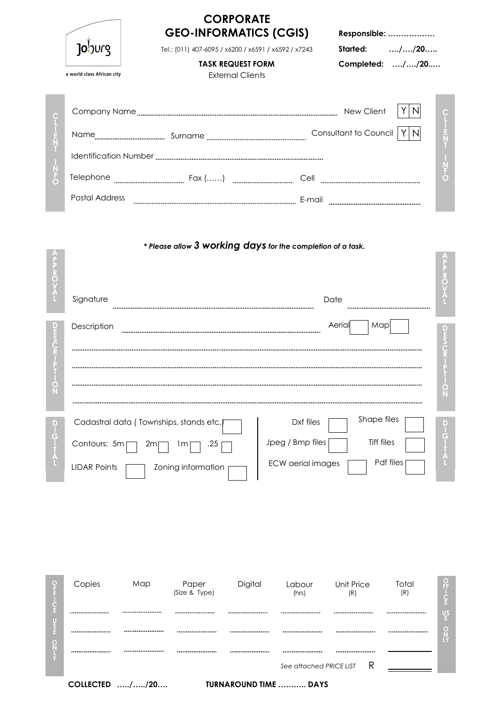|   |                            | <b>CORPORATE</b><br><b>GEO-INFORMATICS (CGIS)</b>                                |                               | Responsible:                 |                |
|---|----------------------------|----------------------------------------------------------------------------------|-------------------------------|------------------------------|----------------|
|   | Joburg                     | Tel.: (011) 407-6095 / x6200 / x6591 / x6592 / x7243<br><b>TASK REQUEST FORM</b> |                               | Started:<br>Completed: //20  | //20           |
|   | a world class African city | <b>External Clients</b>                                                          |                               |                              |                |
|   |                            |                                                                                  |                               |                              |                |
|   |                            |                                                                                  |                               | <b>Consultant to Council</b> | N <sub>l</sub> |
|   |                            |                                                                                  |                               |                              |                |
|   | Telephone                  |                                                                                  |                               |                              |                |
|   | <b>Postal Address</b>      |                                                                                  | E-mail                        |                              |                |
|   |                            | * Please allow 3 working days for the completion of a task.                      |                               |                              |                |
| ۰ | Signature                  |                                                                                  | Date                          |                              |                |
|   | Description                |                                                                                  | Aeria                         | Map                          |                |
| O |                            |                                                                                  |                               |                              |                |
|   |                            |                                                                                  |                               |                              |                |
|   | Contours: 5m               | Cadastral data (Townships, stands etc.)<br>zm<br>ım                              | Dxf files<br>Jpeg / Bmp files | Shape files<br>Tiff files    |                |
|   |                            |                                                                                  |                               |                              |                |



COLLECTED …../…../20…. TURNAROUND TIME ……….. DAYS